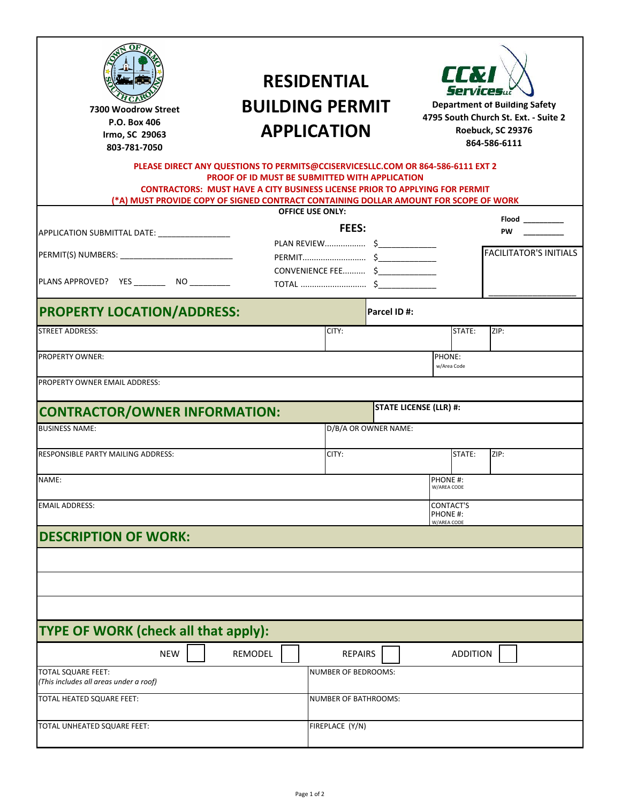| <b>RESIDENTIAL</b><br>SESEESEEDfDEDEESEWDEDEDESEED <b>BALLLADING PERMIT</b><br><b>REDEDEDEDEDEDEDEDEDESEESEEMESESESESESEEM</b><br>SESESESESESESESESESESESE<br>PLEASE DIRECT ANY QUESTIONS TO PERMITS@CCISERVICESLLC.COM OR 864-586-6111 EXT 2<br>PROOF OF ID MUST BE SUBMITTED WITH APPLICATION<br><b>CONTRACTORS: MUST HAVE A CITY BUSINESS LICENSE PRIOR TO APPLYING FOR PERMIT</b><br>(*A) MUST PROVIDE COPY OF SIGNED CONTRACT CONTAINING DOLLAR AMOUNT FOR SCOPE OF WORK |                         | <b>II.V</b><br>Services<br><b>Department of Building Safety</b><br>4795 South Church St. Ext. - Suite 2<br>Roebuck, SC 29376<br>864-586-6111 |                         |                               |  |  |  |
|-------------------------------------------------------------------------------------------------------------------------------------------------------------------------------------------------------------------------------------------------------------------------------------------------------------------------------------------------------------------------------------------------------------------------------------------------------------------------------|-------------------------|----------------------------------------------------------------------------------------------------------------------------------------------|-------------------------|-------------------------------|--|--|--|
|                                                                                                                                                                                                                                                                                                                                                                                                                                                                               | <b>OFFICE USE ONLY:</b> |                                                                                                                                              |                         |                               |  |  |  |
| APPLICATION SUBMITTAL DATE: _________________                                                                                                                                                                                                                                                                                                                                                                                                                                 | <b>FEES:</b>            |                                                                                                                                              |                         | <b>PW</b>                     |  |  |  |
|                                                                                                                                                                                                                                                                                                                                                                                                                                                                               |                         |                                                                                                                                              |                         | <b>FACILITATOR'S INITIALS</b> |  |  |  |
|                                                                                                                                                                                                                                                                                                                                                                                                                                                                               | CONVENIENCE FEE \$      |                                                                                                                                              |                         |                               |  |  |  |
|                                                                                                                                                                                                                                                                                                                                                                                                                                                                               |                         |                                                                                                                                              |                         |                               |  |  |  |
|                                                                                                                                                                                                                                                                                                                                                                                                                                                                               |                         |                                                                                                                                              |                         |                               |  |  |  |
| <b>PROPERTY LOCATION/ADDRESS:</b>                                                                                                                                                                                                                                                                                                                                                                                                                                             |                         | <b>Parcel ID#:</b>                                                                                                                           |                         |                               |  |  |  |
| <b>STREET ADDRESS:</b>                                                                                                                                                                                                                                                                                                                                                                                                                                                        | CITY:                   |                                                                                                                                              | STATE:                  | ZIP:                          |  |  |  |
|                                                                                                                                                                                                                                                                                                                                                                                                                                                                               |                         |                                                                                                                                              |                         |                               |  |  |  |
| <b>PROPERTY OWNER:</b>                                                                                                                                                                                                                                                                                                                                                                                                                                                        |                         |                                                                                                                                              | PHONE:<br>w/Area Code   |                               |  |  |  |
| PROPERTY OWNER EMAIL ADDRESS:                                                                                                                                                                                                                                                                                                                                                                                                                                                 |                         |                                                                                                                                              |                         |                               |  |  |  |
|                                                                                                                                                                                                                                                                                                                                                                                                                                                                               |                         |                                                                                                                                              |                         |                               |  |  |  |
| <b>CONTRACTOR/OWNER INFORMATION:</b>                                                                                                                                                                                                                                                                                                                                                                                                                                          |                         | <b>STATE LICENSE (LLR) #:</b>                                                                                                                |                         |                               |  |  |  |
| <b>BUSINESS NAME:</b>                                                                                                                                                                                                                                                                                                                                                                                                                                                         | D/B/A OR OWNER NAME:    |                                                                                                                                              |                         |                               |  |  |  |
| <b>RESPONSIBLE PARTY MAILING ADDRESS:</b>                                                                                                                                                                                                                                                                                                                                                                                                                                     | CITY:                   |                                                                                                                                              | STATE:                  | ZIP:                          |  |  |  |
|                                                                                                                                                                                                                                                                                                                                                                                                                                                                               |                         |                                                                                                                                              |                         |                               |  |  |  |
| NAME:                                                                                                                                                                                                                                                                                                                                                                                                                                                                         |                         |                                                                                                                                              | PHONE #:<br>W/AREA CODE |                               |  |  |  |
| <b>EMAIL ADDRESS:</b>                                                                                                                                                                                                                                                                                                                                                                                                                                                         |                         |                                                                                                                                              | CONTACT'S               |                               |  |  |  |
|                                                                                                                                                                                                                                                                                                                                                                                                                                                                               |                         |                                                                                                                                              | PHONE #:<br>W/AREA CODE |                               |  |  |  |
| <b>DESCRIPTION OF WORK:</b>                                                                                                                                                                                                                                                                                                                                                                                                                                                   |                         |                                                                                                                                              |                         |                               |  |  |  |
|                                                                                                                                                                                                                                                                                                                                                                                                                                                                               |                         |                                                                                                                                              |                         |                               |  |  |  |
|                                                                                                                                                                                                                                                                                                                                                                                                                                                                               |                         |                                                                                                                                              |                         |                               |  |  |  |
|                                                                                                                                                                                                                                                                                                                                                                                                                                                                               |                         |                                                                                                                                              |                         |                               |  |  |  |
|                                                                                                                                                                                                                                                                                                                                                                                                                                                                               |                         |                                                                                                                                              |                         |                               |  |  |  |
|                                                                                                                                                                                                                                                                                                                                                                                                                                                                               |                         |                                                                                                                                              |                         |                               |  |  |  |
| <b>TYPE OF WORK (check all that apply):</b>                                                                                                                                                                                                                                                                                                                                                                                                                                   |                         |                                                                                                                                              |                         |                               |  |  |  |
| <b>NEW</b><br>REMODEL                                                                                                                                                                                                                                                                                                                                                                                                                                                         | <b>REPAIRS</b>          |                                                                                                                                              | <b>ADDITION</b>         |                               |  |  |  |
| TOTAL SQUARE FEET:                                                                                                                                                                                                                                                                                                                                                                                                                                                            | NUMBER OF BEDROOMS:     |                                                                                                                                              |                         |                               |  |  |  |
| (This includes all areas under a roof)                                                                                                                                                                                                                                                                                                                                                                                                                                        |                         |                                                                                                                                              |                         |                               |  |  |  |
| TOTAL HEATED SQUARE FEET:<br>NUMBER OF BATHROOMS:                                                                                                                                                                                                                                                                                                                                                                                                                             |                         |                                                                                                                                              |                         |                               |  |  |  |
| TOTAL UNHEATED SQUARE FEET:                                                                                                                                                                                                                                                                                                                                                                                                                                                   | FIREPLACE (Y/N)         |                                                                                                                                              |                         |                               |  |  |  |
|                                                                                                                                                                                                                                                                                                                                                                                                                                                                               |                         |                                                                                                                                              |                         |                               |  |  |  |